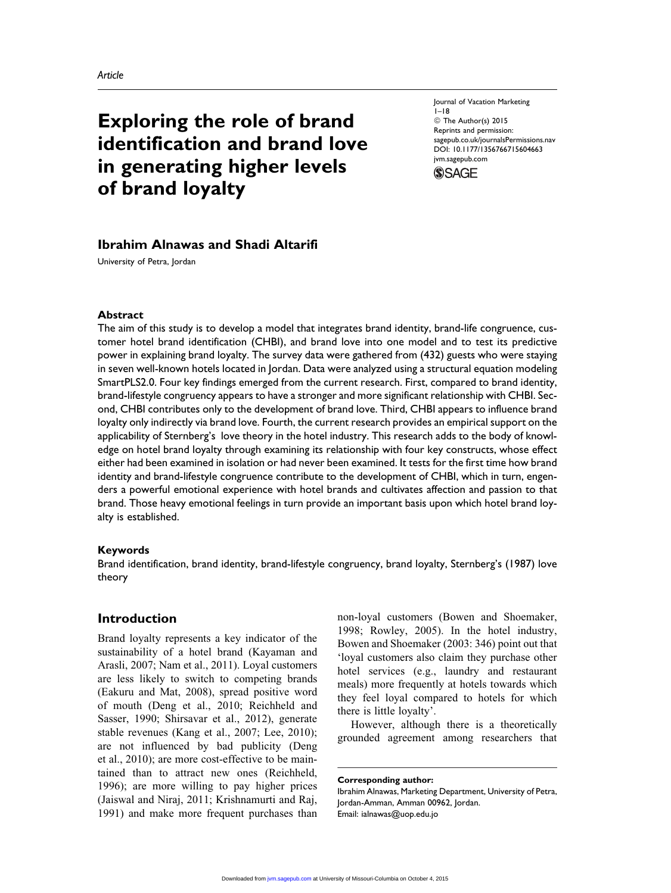# Exploring the role of brand identification and brand love in generating higher levels of brand loyalty

Journal of Vacation Marketing  $1 - 18$ ª The Author(s) 2015 Reprints and permission: [sagepub.co.uk/journalsPermissions.nav](http://www.sagepub.co.uk/journalsPermissions.nav) DOI: 10.1177/1356766715604663 [jvm.sagepub.com](http://jvm.sagepub.com) **SSAGE** 

# Ibrahim Alnawas and Shadi Altarifi

University of Petra, Jordan

#### Abstract

The aim of this study is to develop a model that integrates brand identity, brand-life congruence, customer hotel brand identification (CHBI), and brand love into one model and to test its predictive power in explaining brand loyalty. The survey data were gathered from (432) guests who were staying in seven well-known hotels located in Jordan. Data were analyzed using a structural equation modeling SmartPLS2.0. Four key findings emerged from the current research. First, compared to brand identity, brand-lifestyle congruency appears to have a stronger and more significant relationship with CHBI. Second, CHBI contributes only to the development of brand love. Third, CHBI appears to influence brand loyalty only indirectly via brand love. Fourth, the current research provides an empirical support on the applicability of Sternberg's love theory in the hotel industry. This research adds to the body of knowledge on hotel brand loyalty through examining its relationship with four key constructs, whose effect either had been examined in isolation or had never been examined. It tests for the first time how brand identity and brand-lifestyle congruence contribute to the development of CHBI, which in turn, engenders a powerful emotional experience with hotel brands and cultivates affection and passion to that brand. Those heavy emotional feelings in turn provide an important basis upon which hotel brand loyalty is established.

#### Keywords

Brand identification, brand identity, brand-lifestyle congruency, brand loyalty, Sternberg's (1987) love theory

#### Introduction

Brand loyalty represents a key indicator of the sustainability of a hotel brand (Kayaman and Arasli, 2007; Nam et al., 2011). Loyal customers are less likely to switch to competing brands (Eakuru and Mat, 2008), spread positive word of mouth (Deng et al., 2010; Reichheld and Sasser, 1990; Shirsavar et al., 2012), generate stable revenues (Kang et al., 2007; Lee, 2010); are not influenced by bad publicity (Deng et al., 2010); are more cost-effective to be maintained than to attract new ones (Reichheld, 1996); are more willing to pay higher prices (Jaiswal and Niraj, 2011; Krishnamurti and Raj, 1991) and make more frequent purchases than

non-loyal customers (Bowen and Shoemaker, 1998; Rowley, 2005). In the hotel industry, Bowen and Shoemaker (2003: 346) point out that 'loyal customers also claim they purchase other hotel services (e.g., laundry and restaurant meals) more frequently at hotels towards which they feel loyal compared to hotels for which there is little loyalty'.

However, although there is a theoretically grounded agreement among researchers that

Corresponding author:

Ibrahim Alnawas, Marketing Department, University of Petra, Jordan-Amman, Amman 00962, Jordan. Email: ialnawas@uop.edu.jo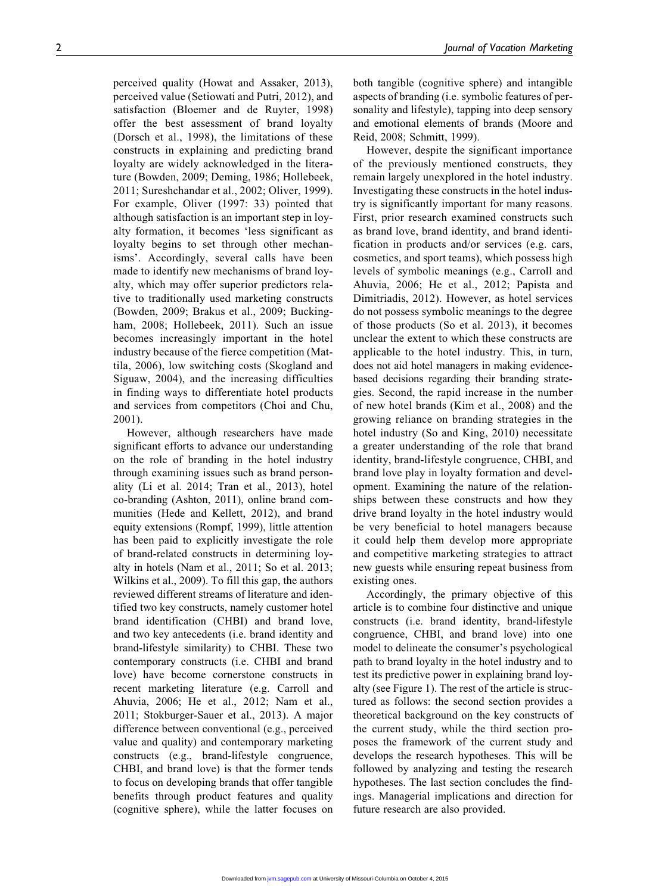perceived quality (Howat and Assaker, 2013), perceived value (Setiowati and Putri, 2012), and satisfaction (Bloemer and de Ruyter, 1998) offer the best assessment of brand loyalty (Dorsch et al., 1998), the limitations of these constructs in explaining and predicting brand loyalty are widely acknowledged in the literature (Bowden, 2009; Deming, 1986; Hollebeek, 2011; Sureshchandar et al., 2002; Oliver, 1999). For example, Oliver (1997: 33) pointed that although satisfaction is an important step in loyalty formation, it becomes 'less significant as loyalty begins to set through other mechanisms'. Accordingly, several calls have been made to identify new mechanisms of brand loyalty, which may offer superior predictors relative to traditionally used marketing constructs (Bowden, 2009; Brakus et al., 2009; Buckingham, 2008; Hollebeek, 2011). Such an issue becomes increasingly important in the hotel industry because of the fierce competition (Mattila, 2006), low switching costs (Skogland and Siguaw, 2004), and the increasing difficulties in finding ways to differentiate hotel products and services from competitors (Choi and Chu, 2001).

However, although researchers have made significant efforts to advance our understanding on the role of branding in the hotel industry through examining issues such as brand personality (Li et al. 2014; Tran et al., 2013), hotel co-branding (Ashton, 2011), online brand communities (Hede and Kellett, 2012), and brand equity extensions (Rompf, 1999), little attention has been paid to explicitly investigate the role of brand-related constructs in determining loyalty in hotels (Nam et al., 2011; So et al. 2013; Wilkins et al., 2009). To fill this gap, the authors reviewed different streams of literature and identified two key constructs, namely customer hotel brand identification (CHBI) and brand love, and two key antecedents (i.e. brand identity and brand-lifestyle similarity) to CHBI. These two contemporary constructs (i.e. CHBI and brand love) have become cornerstone constructs in recent marketing literature (e.g. Carroll and Ahuvia, 2006; He et al., 2012; Nam et al., 2011; Stokburger-Sauer et al., 2013). A major difference between conventional (e.g., perceived value and quality) and contemporary marketing constructs (e.g., brand-lifestyle congruence, CHBI, and brand love) is that the former tends to focus on developing brands that offer tangible benefits through product features and quality (cognitive sphere), while the latter focuses on

both tangible (cognitive sphere) and intangible aspects of branding (i.e. symbolic features of personality and lifestyle), tapping into deep sensory and emotional elements of brands (Moore and Reid, 2008; Schmitt, 1999).

However, despite the significant importance of the previously mentioned constructs, they remain largely unexplored in the hotel industry. Investigating these constructs in the hotel industry is significantly important for many reasons. First, prior research examined constructs such as brand love, brand identity, and brand identification in products and/or services (e.g. cars, cosmetics, and sport teams), which possess high levels of symbolic meanings (e.g., Carroll and Ahuvia, 2006; He et al., 2012; Papista and Dimitriadis, 2012). However, as hotel services do not possess symbolic meanings to the degree of those products (So et al. 2013), it becomes unclear the extent to which these constructs are applicable to the hotel industry. This, in turn, does not aid hotel managers in making evidencebased decisions regarding their branding strategies. Second, the rapid increase in the number of new hotel brands (Kim et al., 2008) and the growing reliance on branding strategies in the hotel industry (So and King, 2010) necessitate a greater understanding of the role that brand identity, brand-lifestyle congruence, CHBI, and brand love play in loyalty formation and development. Examining the nature of the relationships between these constructs and how they drive brand loyalty in the hotel industry would be very beneficial to hotel managers because it could help them develop more appropriate and competitive marketing strategies to attract new guests while ensuring repeat business from existing ones.

Accordingly, the primary objective of this article is to combine four distinctive and unique constructs (i.e. brand identity, brand-lifestyle congruence, CHBI, and brand love) into one model to delineate the consumer's psychological path to brand loyalty in the hotel industry and to test its predictive power in explaining brand loyalty (see Figure 1). The rest of the article is structured as follows: the second section provides a theoretical background on the key constructs of the current study, while the third section proposes the framework of the current study and develops the research hypotheses. This will be followed by analyzing and testing the research hypotheses. The last section concludes the findings. Managerial implications and direction for future research are also provided.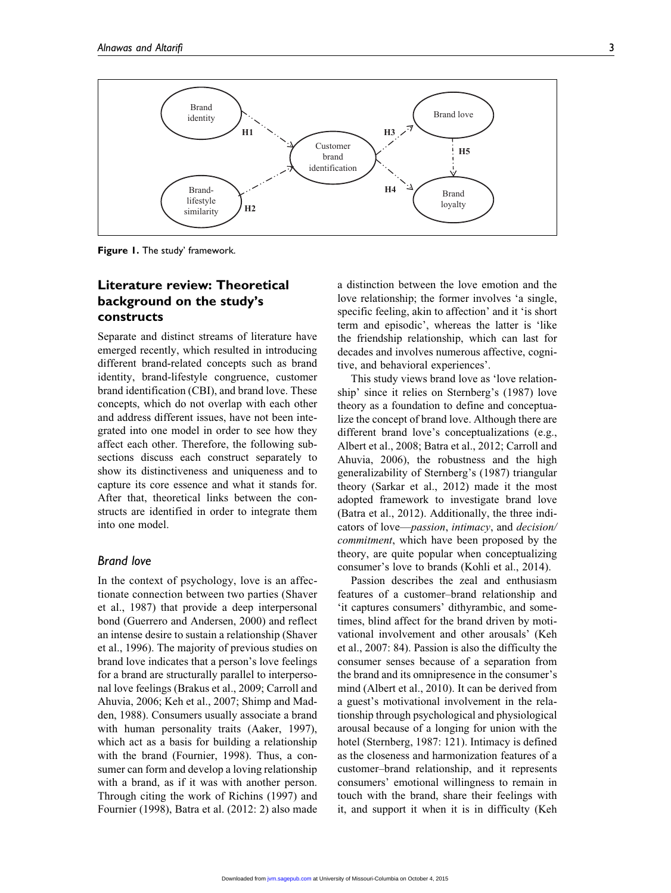

Figure 1. The study' framework.

# Literature review: Theoretical background on the study's constructs

Separate and distinct streams of literature have emerged recently, which resulted in introducing different brand-related concepts such as brand identity, brand-lifestyle congruence, customer brand identification (CBI), and brand love. These concepts, which do not overlap with each other and address different issues, have not been integrated into one model in order to see how they affect each other. Therefore, the following subsections discuss each construct separately to show its distinctiveness and uniqueness and to capture its core essence and what it stands for. After that, theoretical links between the constructs are identified in order to integrate them into one model.

#### Brand love

In the context of psychology, love is an affectionate connection between two parties (Shaver et al., 1987) that provide a deep interpersonal bond (Guerrero and Andersen, 2000) and reflect an intense desire to sustain a relationship (Shaver et al., 1996). The majority of previous studies on brand love indicates that a person's love feelings for a brand are structurally parallel to interpersonal love feelings (Brakus et al., 2009; Carroll and Ahuvia, 2006; Keh et al., 2007; Shimp and Madden, 1988). Consumers usually associate a brand with human personality traits (Aaker, 1997), which act as a basis for building a relationship with the brand (Fournier, 1998). Thus, a consumer can form and develop a loving relationship with a brand, as if it was with another person. Through citing the work of Richins (1997) and Fournier (1998), Batra et al. (2012: 2) also made

a distinction between the love emotion and the love relationship; the former involves 'a single, specific feeling, akin to affection' and it 'is short term and episodic', whereas the latter is 'like the friendship relationship, which can last for decades and involves numerous affective, cognitive, and behavioral experiences'.

This study views brand love as 'love relationship' since it relies on Sternberg's (1987) love theory as a foundation to define and conceptualize the concept of brand love. Although there are different brand love's conceptualizations (e.g., Albert et al., 2008; Batra et al., 2012; Carroll and Ahuvia, 2006), the robustness and the high generalizability of Sternberg's (1987) triangular theory (Sarkar et al., 2012) made it the most adopted framework to investigate brand love (Batra et al., 2012). Additionally, the three indicators of love—passion, intimacy, and decision/ commitment, which have been proposed by the theory, are quite popular when conceptualizing consumer's love to brands (Kohli et al., 2014).

Passion describes the zeal and enthusiasm features of a customer–brand relationship and 'it captures consumers' dithyrambic, and sometimes, blind affect for the brand driven by motivational involvement and other arousals' (Keh et al., 2007: 84). Passion is also the difficulty the consumer senses because of a separation from the brand and its omnipresence in the consumer's mind (Albert et al., 2010). It can be derived from a guest's motivational involvement in the relationship through psychological and physiological arousal because of a longing for union with the hotel (Sternberg, 1987: 121). Intimacy is defined as the closeness and harmonization features of a customer–brand relationship, and it represents consumers' emotional willingness to remain in touch with the brand, share their feelings with it, and support it when it is in difficulty (Keh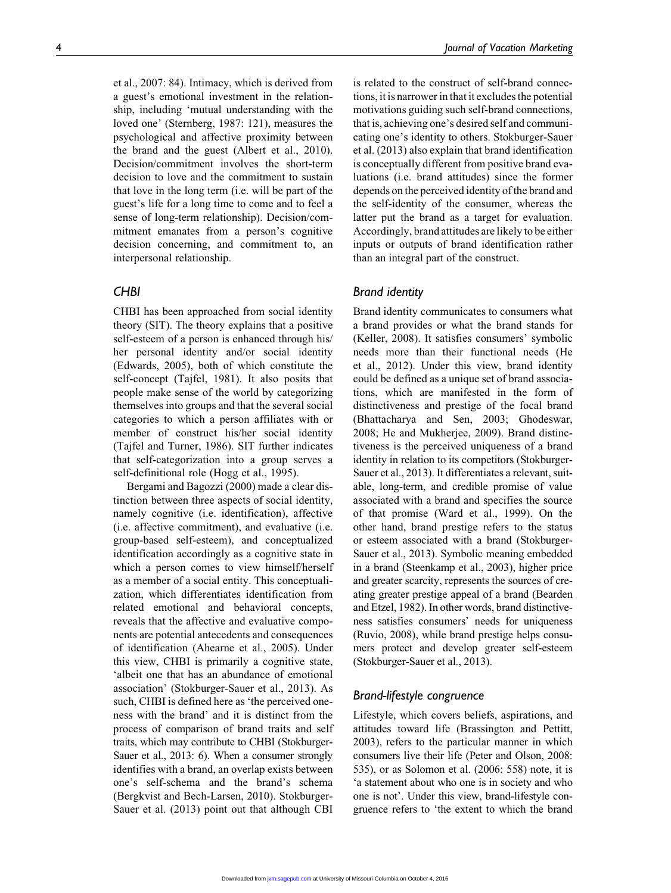et al., 2007: 84). Intimacy, which is derived from a guest's emotional investment in the relationship, including 'mutual understanding with the loved one' (Sternberg, 1987: 121), measures the psychological and affective proximity between the brand and the guest (Albert et al., 2010). Decision/commitment involves the short-term decision to love and the commitment to sustain that love in the long term (i.e. will be part of the guest's life for a long time to come and to feel a sense of long-term relationship). Decision/commitment emanates from a person's cognitive decision concerning, and commitment to, an interpersonal relationship.

## **CHBI**

CHBI has been approached from social identity theory (SIT). The theory explains that a positive self-esteem of a person is enhanced through his/ her personal identity and/or social identity (Edwards, 2005), both of which constitute the self-concept (Tajfel, 1981). It also posits that people make sense of the world by categorizing themselves into groups and that the several social categories to which a person affiliates with or member of construct his/her social identity (Tajfel and Turner, 1986). SIT further indicates that self-categorization into a group serves a self-definitional role (Hogg et al., 1995).

Bergami and Bagozzi (2000) made a clear distinction between three aspects of social identity, namely cognitive (i.e. identification), affective (i.e. affective commitment), and evaluative (i.e. group-based self-esteem), and conceptualized identification accordingly as a cognitive state in which a person comes to view himself/herself as a member of a social entity. This conceptualization, which differentiates identification from related emotional and behavioral concepts, reveals that the affective and evaluative components are potential antecedents and consequences of identification (Ahearne et al., 2005). Under this view, CHBI is primarily a cognitive state, 'albeit one that has an abundance of emotional association' (Stokburger-Sauer et al., 2013). As such, CHBI is defined here as 'the perceived oneness with the brand' and it is distinct from the process of comparison of brand traits and self traits, which may contribute to CHBI (Stokburger-Sauer et al., 2013: 6). When a consumer strongly identifies with a brand, an overlap exists between one's self-schema and the brand's schema (Bergkvist and Bech-Larsen, 2010). Stokburger-Sauer et al. (2013) point out that although CBI

is related to the construct of self-brand connections, it is narrower in that it excludes the potential motivations guiding such self-brand connections, that is, achieving one's desired self and communicating one's identity to others. Stokburger-Sauer et al. (2013) also explain that brand identification is conceptually different from positive brand evaluations (i.e. brand attitudes) since the former depends on the perceived identity of the brand and the self-identity of the consumer, whereas the latter put the brand as a target for evaluation. Accordingly, brand attitudes are likely to be either inputs or outputs of brand identification rather than an integral part of the construct.

## Brand identity

Brand identity communicates to consumers what a brand provides or what the brand stands for (Keller, 2008). It satisfies consumers' symbolic needs more than their functional needs (He et al., 2012). Under this view, brand identity could be defined as a unique set of brand associations, which are manifested in the form of distinctiveness and prestige of the focal brand (Bhattacharya and Sen, 2003; Ghodeswar, 2008; He and Mukherjee, 2009). Brand distinctiveness is the perceived uniqueness of a brand identity in relation to its competitors (Stokburger-Sauer et al., 2013). It differentiates a relevant, suitable, long-term, and credible promise of value associated with a brand and specifies the source of that promise (Ward et al., 1999). On the other hand, brand prestige refers to the status or esteem associated with a brand (Stokburger-Sauer et al., 2013). Symbolic meaning embedded in a brand (Steenkamp et al., 2003), higher price and greater scarcity, represents the sources of creating greater prestige appeal of a brand (Bearden and Etzel, 1982). In other words, brand distinctiveness satisfies consumers' needs for uniqueness (Ruvio, 2008), while brand prestige helps consumers protect and develop greater self-esteem (Stokburger-Sauer et al., 2013).

#### Brand-lifestyle congruence

Lifestyle, which covers beliefs, aspirations, and attitudes toward life (Brassington and Pettitt, 2003), refers to the particular manner in which consumers live their life (Peter and Olson, 2008: 535), or as Solomon et al. (2006: 558) note, it is 'a statement about who one is in society and who one is not'. Under this view, brand-lifestyle congruence refers to 'the extent to which the brand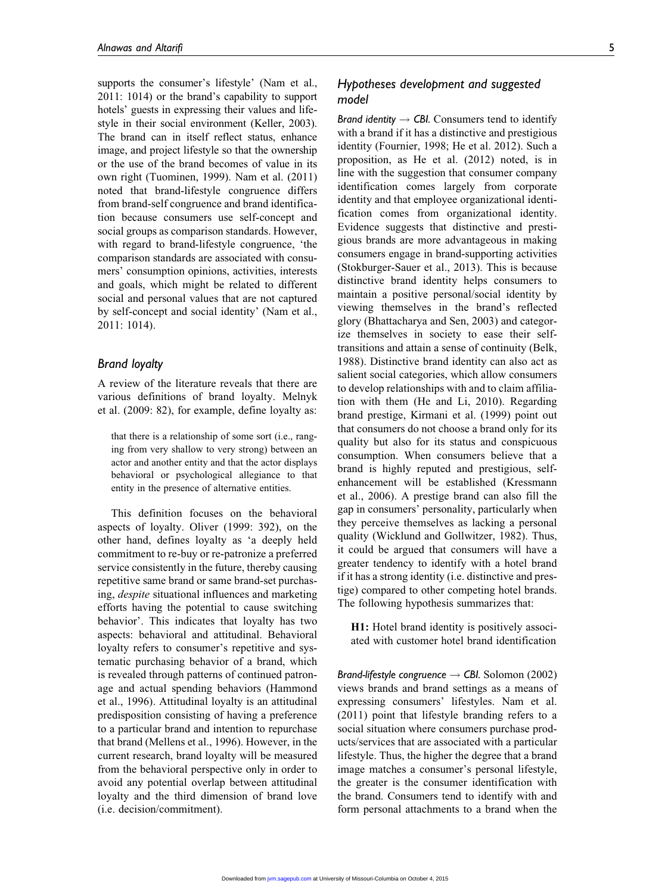supports the consumer's lifestyle' (Nam et al., 2011: 1014) or the brand's capability to support hotels' guests in expressing their values and lifestyle in their social environment (Keller, 2003). The brand can in itself reflect status, enhance image, and project lifestyle so that the ownership or the use of the brand becomes of value in its own right (Tuominen, 1999). Nam et al. (2011) noted that brand-lifestyle congruence differs from brand-self congruence and brand identification because consumers use self-concept and social groups as comparison standards. However, with regard to brand-lifestyle congruence, 'the comparison standards are associated with consumers' consumption opinions, activities, interests and goals, which might be related to different social and personal values that are not captured by self-concept and social identity' (Nam et al., 2011: 1014).

#### Brand loyalty

A review of the literature reveals that there are various definitions of brand loyalty. Melnyk et al. (2009: 82), for example, define loyalty as:

that there is a relationship of some sort (i.e., ranging from very shallow to very strong) between an actor and another entity and that the actor displays behavioral or psychological allegiance to that entity in the presence of alternative entities.

This definition focuses on the behavioral aspects of loyalty. Oliver (1999: 392), on the other hand, defines loyalty as 'a deeply held commitment to re-buy or re-patronize a preferred service consistently in the future, thereby causing repetitive same brand or same brand-set purchasing, despite situational influences and marketing efforts having the potential to cause switching behavior'. This indicates that loyalty has two aspects: behavioral and attitudinal. Behavioral loyalty refers to consumer's repetitive and systematic purchasing behavior of a brand, which is revealed through patterns of continued patronage and actual spending behaviors (Hammond et al., 1996). Attitudinal loyalty is an attitudinal predisposition consisting of having a preference to a particular brand and intention to repurchase that brand (Mellens et al., 1996). However, in the current research, brand loyalty will be measured from the behavioral perspective only in order to avoid any potential overlap between attitudinal loyalty and the third dimension of brand love (i.e. decision/commitment).

## Hypotheses development and suggested model

Brand identity  $\rightarrow$  CBI. Consumers tend to identify with a brand if it has a distinctive and prestigious identity (Fournier, 1998; He et al. 2012). Such a proposition, as He et al. (2012) noted, is in line with the suggestion that consumer company identification comes largely from corporate identity and that employee organizational identification comes from organizational identity. Evidence suggests that distinctive and prestigious brands are more advantageous in making consumers engage in brand-supporting activities (Stokburger-Sauer et al., 2013). This is because distinctive brand identity helps consumers to maintain a positive personal/social identity by viewing themselves in the brand's reflected glory (Bhattacharya and Sen, 2003) and categorize themselves in society to ease their selftransitions and attain a sense of continuity (Belk, 1988). Distinctive brand identity can also act as salient social categories, which allow consumers to develop relationships with and to claim affiliation with them (He and Li, 2010). Regarding brand prestige, Kirmani et al. (1999) point out that consumers do not choose a brand only for its quality but also for its status and conspicuous consumption. When consumers believe that a brand is highly reputed and prestigious, selfenhancement will be established (Kressmann et al., 2006). A prestige brand can also fill the gap in consumers' personality, particularly when they perceive themselves as lacking a personal quality (Wicklund and Gollwitzer, 1982). Thus, it could be argued that consumers will have a greater tendency to identify with a hotel brand if it has a strong identity (i.e. distinctive and prestige) compared to other competing hotel brands. The following hypothesis summarizes that:

H1: Hotel brand identity is positively associated with customer hotel brand identification

Brand-lifestyle congruence  $\rightarrow$  CBI. Solomon (2002) views brands and brand settings as a means of expressing consumers' lifestyles. Nam et al. (2011) point that lifestyle branding refers to a social situation where consumers purchase products/services that are associated with a particular lifestyle. Thus, the higher the degree that a brand image matches a consumer's personal lifestyle, the greater is the consumer identification with the brand. Consumers tend to identify with and form personal attachments to a brand when the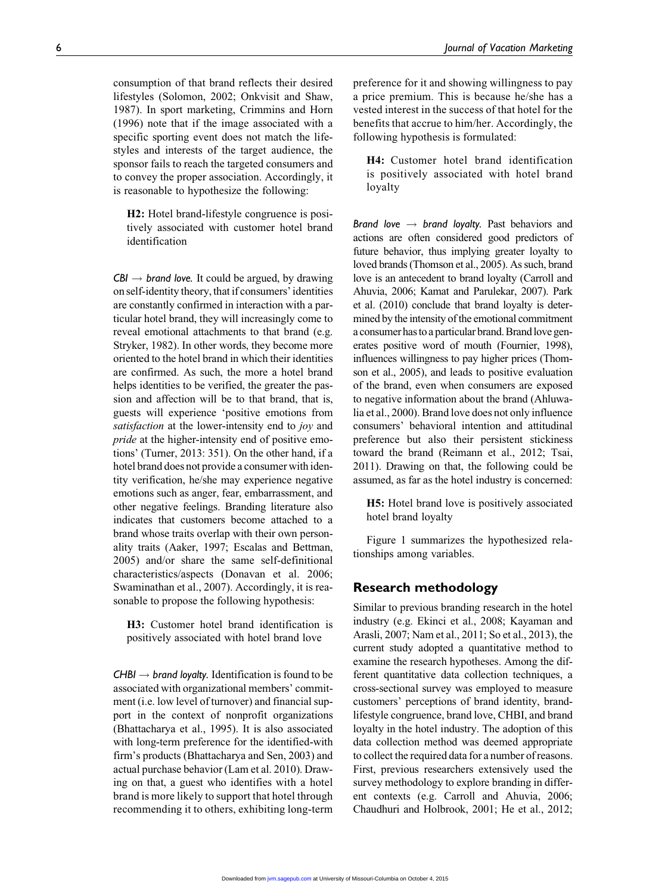consumption of that brand reflects their desired lifestyles (Solomon, 2002; Onkvisit and Shaw, 1987). In sport marketing, Crimmins and Horn (1996) note that if the image associated with a specific sporting event does not match the lifestyles and interests of the target audience, the sponsor fails to reach the targeted consumers and to convey the proper association. Accordingly, it is reasonable to hypothesize the following:

H2: Hotel brand-lifestyle congruence is positively associated with customer hotel brand identification

 $CBI \rightarrow brand$  love. It could be argued, by drawing on self-identity theory, that if consumers'identities are constantly confirmed in interaction with a particular hotel brand, they will increasingly come to reveal emotional attachments to that brand (e.g. Stryker, 1982). In other words, they become more oriented to the hotel brand in which their identities are confirmed. As such, the more a hotel brand helps identities to be verified, the greater the passion and affection will be to that brand, that is, guests will experience 'positive emotions from satisfaction at the lower-intensity end to joy and pride at the higher-intensity end of positive emotions' (Turner, 2013: 351). On the other hand, if a hotel brand does not provide a consumer with identity verification, he/she may experience negative emotions such as anger, fear, embarrassment, and other negative feelings. Branding literature also indicates that customers become attached to a brand whose traits overlap with their own personality traits (Aaker, 1997; Escalas and Bettman, 2005) and/or share the same self-definitional characteristics/aspects (Donavan et al. 2006; Swaminathan et al., 2007). Accordingly, it is reasonable to propose the following hypothesis:

H3: Customer hotel brand identification is positively associated with hotel brand love

 $CHBI \rightarrow brand$  loyalty. Identification is found to be associated with organizational members' commitment (i.e. low level of turnover) and financial support in the context of nonprofit organizations (Bhattacharya et al., 1995). It is also associated with long-term preference for the identified-with firm's products (Bhattacharya and Sen, 2003) and actual purchase behavior (Lam et al. 2010). Drawing on that, a guest who identifies with a hotel brand is more likely to support that hotel through recommending it to others, exhibiting long-term

preference for it and showing willingness to pay a price premium. This is because he/she has a vested interest in the success of that hotel for the benefits that accrue to him/her. Accordingly, the following hypothesis is formulated:

H4: Customer hotel brand identification is positively associated with hotel brand loyalty

Brand love  $\rightarrow$  brand loyalty. Past behaviors and actions are often considered good predictors of future behavior, thus implying greater loyalty to loved brands (Thomson et al., 2005). As such, brand love is an antecedent to brand loyalty (Carroll and Ahuvia, 2006; Kamat and Parulekar, 2007). Park et al. (2010) conclude that brand loyalty is determined by the intensity of the emotional commitment a consumer has to a particular brand. Brand love generates positive word of mouth (Fournier, 1998), influences willingness to pay higher prices (Thomson et al., 2005), and leads to positive evaluation of the brand, even when consumers are exposed to negative information about the brand (Ahluwalia et al., 2000). Brand love does not only influence consumers' behavioral intention and attitudinal preference but also their persistent stickiness toward the brand (Reimann et al., 2012; Tsai, 2011). Drawing on that, the following could be assumed, as far as the hotel industry is concerned:

H5: Hotel brand love is positively associated hotel brand loyalty

Figure 1 summarizes the hypothesized relationships among variables.

## Research methodology

Similar to previous branding research in the hotel industry (e.g. Ekinci et al., 2008; Kayaman and Arasli, 2007; Nam et al., 2011; So et al., 2013), the current study adopted a quantitative method to examine the research hypotheses. Among the different quantitative data collection techniques, a cross-sectional survey was employed to measure customers' perceptions of brand identity, brandlifestyle congruence, brand love, CHBI, and brand loyalty in the hotel industry. The adoption of this data collection method was deemed appropriate to collect the required data for a number of reasons. First, previous researchers extensively used the survey methodology to explore branding in different contexts (e.g. Carroll and Ahuvia, 2006; Chaudhuri and Holbrook, 2001; He et al., 2012;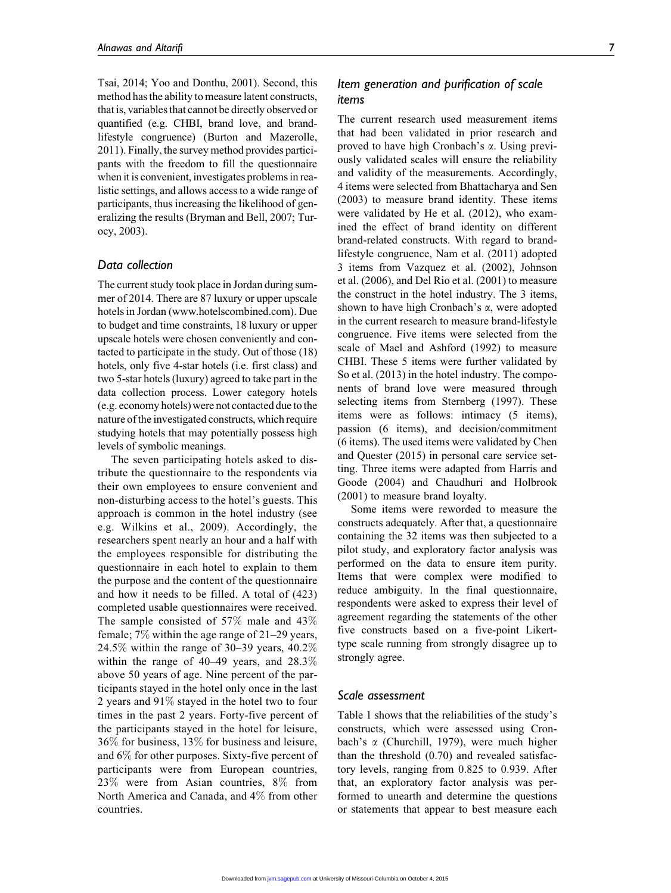Tsai, 2014; Yoo and Donthu, 2001). Second, this method has the ability to measure latent constructs, that is, variables that cannot be directly observed or quantified (e.g. CHBI, brand love, and brandlifestyle congruence) (Burton and Mazerolle, 2011). Finally, the survey method provides participants with the freedom to fill the questionnaire when it is convenient, investigates problems in realistic settings, and allows access to a wide range of participants, thus increasing the likelihood of generalizing the results (Bryman and Bell, 2007; Turocy, 2003).

#### Data collection

The current study took place in Jordan during summer of 2014. There are 87 luxury or upper upscale hotels in Jordan ([www.hotelscombined.com\)](http://www.hotelscombined.com). Due to budget and time constraints, 18 luxury or upper upscale hotels were chosen conveniently and contacted to participate in the study. Out of those (18) hotels, only five 4-star hotels (i.e. first class) and two 5-star hotels (luxury) agreed to take part in the data collection process. Lower category hotels (e.g. economy hotels) were not contacted due to the nature of the investigated constructs, which require studying hotels that may potentially possess high levels of symbolic meanings.

The seven participating hotels asked to distribute the questionnaire to the respondents via their own employees to ensure convenient and non-disturbing access to the hotel's guests. This approach is common in the hotel industry (see e.g. Wilkins et al., 2009). Accordingly, the researchers spent nearly an hour and a half with the employees responsible for distributing the questionnaire in each hotel to explain to them the purpose and the content of the questionnaire and how it needs to be filled. A total of (423) completed usable questionnaires were received. The sample consisted of 57% male and 43% female; 7% within the age range of 21–29 years, 24.5% within the range of 30–39 years,  $40.2\%$ within the range of 40–49 years, and 28.3% above 50 years of age. Nine percent of the participants stayed in the hotel only once in the last 2 years and 91% stayed in the hotel two to four times in the past 2 years. Forty-five percent of the participants stayed in the hotel for leisure, 36% for business, 13% for business and leisure, and 6% for other purposes. Sixty-five percent of participants were from European countries, 23% were from Asian countries, 8% from North America and Canada, and 4% from other countries.

# Item generation and purification of scale items

The current research used measurement items that had been validated in prior research and proved to have high Cronbach's a. Using previously validated scales will ensure the reliability and validity of the measurements. Accordingly, 4 items were selected from Bhattacharya and Sen (2003) to measure brand identity. These items were validated by He et al. (2012), who examined the effect of brand identity on different brand-related constructs. With regard to brandlifestyle congruence, Nam et al. (2011) adopted 3 items from Vazquez et al. (2002), Johnson et al. (2006), and Del Rio et al. (2001) to measure the construct in the hotel industry. The 3 items, shown to have high Cronbach's  $\alpha$ , were adopted in the current research to measure brand-lifestyle congruence. Five items were selected from the scale of Mael and Ashford (1992) to measure CHBI. These 5 items were further validated by So et al. (2013) in the hotel industry. The components of brand love were measured through selecting items from Sternberg (1997). These items were as follows: intimacy (5 items), passion (6 items), and decision/commitment (6 items). The used items were validated by Chen and Quester (2015) in personal care service setting. Three items were adapted from Harris and Goode (2004) and Chaudhuri and Holbrook (2001) to measure brand loyalty.

Some items were reworded to measure the constructs adequately. After that, a questionnaire containing the 32 items was then subjected to a pilot study, and exploratory factor analysis was performed on the data to ensure item purity. Items that were complex were modified to reduce ambiguity. In the final questionnaire, respondents were asked to express their level of agreement regarding the statements of the other five constructs based on a five-point Likerttype scale running from strongly disagree up to strongly agree.

#### Scale assessment

Table 1 shows that the reliabilities of the study's constructs, which were assessed using Cronbach's a (Churchill, 1979), were much higher than the threshold (0.70) and revealed satisfactory levels, ranging from 0.825 to 0.939. After that, an exploratory factor analysis was performed to unearth and determine the questions or statements that appear to best measure each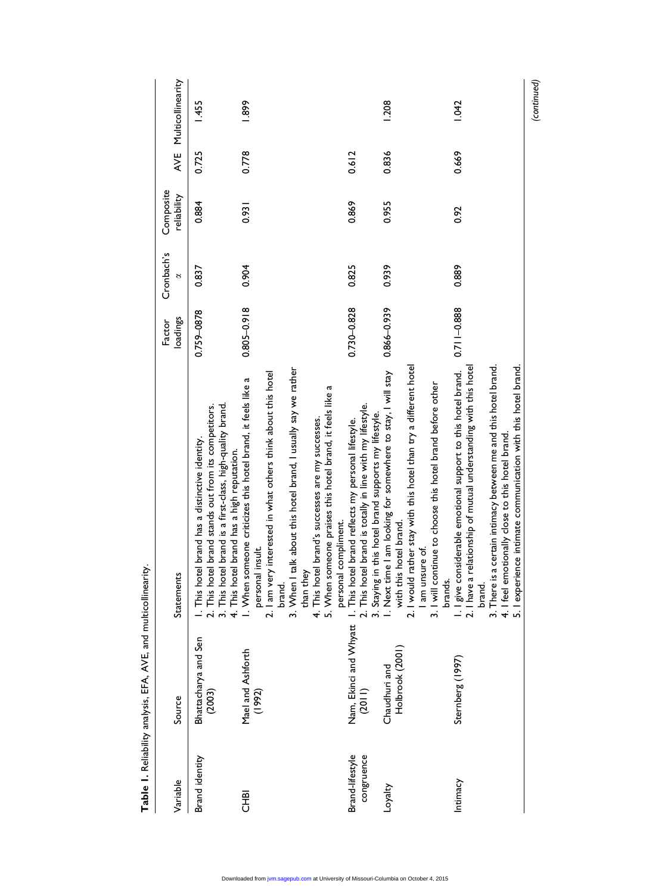| Variable                      | Source                           | Statements                                                                                                                                                                                                                                                                                                                                                                                                                | loadings<br>Factor | Cronbach's<br>S | Composite<br>reliability |       | AVE Multicollinearity |
|-------------------------------|----------------------------------|---------------------------------------------------------------------------------------------------------------------------------------------------------------------------------------------------------------------------------------------------------------------------------------------------------------------------------------------------------------------------------------------------------------------------|--------------------|-----------------|--------------------------|-------|-----------------------|
| Brand identity                | Bhattacharya and Sen<br>(2003)   | This hotel brand stands out from its competitors.<br>This hotel brand is a first-class, high-quality brand.<br>I. This hotel brand has a distinctive identity.<br>.<br>ຕໍ່ຕ                                                                                                                                                                                                                                               | 0.759-0878         | 0.837           | 0.884                    | 0.725 | 1.455                 |
| <b>CHB</b>                    | Mael and Ashforth<br>(1992)      | 3. When I talk about this hotel brand, I usually say we rather<br>2. I am very interested in what others think about this hotel<br>someone criticizes this hotel brand, it feels like a<br>5. When someone praises this hotel brand, it feels like a<br>than they<br>4. This hotel brand's successes are my successes.<br>This hotel brand has a high reputation.<br>ial insult.<br>I. When<br>person<br>brand.<br>.<br>न | $0.805 - 0.918$    | 0.904           | 0.931                    | 0.778 | 1.899                 |
| Brand-lifestyle<br>congruence | (2011)                           | Nam, Ekinci and Whyatt I. This hotel brand reflects my personal lifestyle.<br>(2011) 2. This hotel brand is totally in line with my lifestyle.<br>personal compliment.                                                                                                                                                                                                                                                    | 0.730-0.828        | 0.825           | 0.869                    | 0.612 |                       |
| Loyalty                       | Holbrook (2001)<br>Chaudhuri and | 2. I would rather stay with this hotel than try a different hotel<br>3. Staying in this hotel brand supports my lifestyle.<br>1. Next time I am looking for somewhere to stay, I will stay<br>3. I will continue to choose this hotel brand before other<br>with this hotel brand.<br>I am unsure of.                                                                                                                     | 0.866-0.939        | 0.939           | 0.955                    | 0.836 | 1.208                 |
| Intimacy                      | Sternberg (1997)                 | 1. I give considerable emotional support to this hotel brand.<br>2. I have a relationship of mutual understanding with this hotel<br>3. There is a certain intimacy between me and this hotel brand.<br>5. I experience intimate communication with this hotel brand.<br>4. I feel emotionally close to this hotel brand<br><b>brands</b><br>brand.                                                                       | $0.711 - 0.888$    | 0.889           | 0.92                     | 0.669 | 1.042                 |
|                               |                                  |                                                                                                                                                                                                                                                                                                                                                                                                                           |                    |                 |                          |       | (continued)           |

Table 1. Reliability analysis, EFA, AVE, and multicollinearity. Table 1. Reliability analysis, EFA, AVE, and multicollinearity.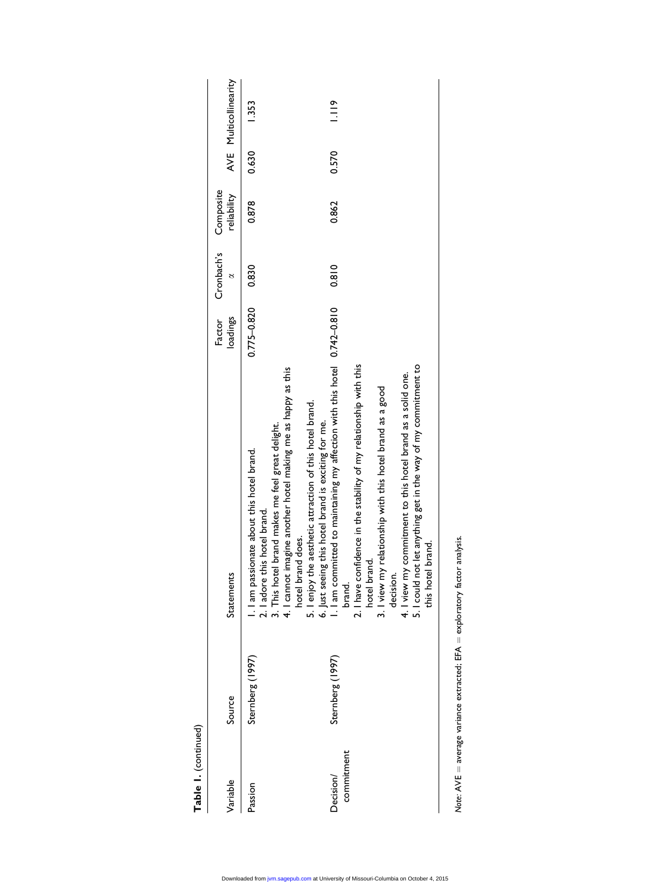| Sternberg (1997)<br>Source<br>Variable<br>Passion |                                    |                                                                                                                                                                                                                                                                                                                                                                             |                    |                 |                          |       |                       |
|---------------------------------------------------|------------------------------------|-----------------------------------------------------------------------------------------------------------------------------------------------------------------------------------------------------------------------------------------------------------------------------------------------------------------------------------------------------------------------------|--------------------|-----------------|--------------------------|-------|-----------------------|
|                                                   | Statements                         |                                                                                                                                                                                                                                                                                                                                                                             | loadings<br>Factor | Cronbach's<br>S | Composite<br>reliability |       | AVE Multicollinearity |
|                                                   | $1.1$ am                           | 4. I cannot imagine another hotel making me as happy as this<br>5. I enjoy the aesthetic attraction of this hotel brand.<br>6. Just seeing this hotel brand is exciting for me.<br>3. This hotel brand makes me feel great delight.<br>passionate about this hotel brand.<br>2. I adore this hotel brand.<br>hotel brand does.                                              | 0.775-0.820        | 0.830           | 0.878                    | 0.630 | l.353                 |
| Sternberg (1997)<br>commitment<br>Decision/       | decision.<br><b>brand</b><br>hotel | 1.1 am committed to maintaining my affection with this hotel 0.742-0.810<br>2. I have confidence in the stability of my relationship with this<br>5. I could not let anything get in the way of my commitment to<br>4. I view my commitment to this hotel brand as a solid one.<br>3. I view my relationship with this hotel brand as a good<br>this hotel brand.<br>brand. |                    | 0.810           | 0.862                    | 0.570 | $\frac{9}{1}$         |

Note: AVE average variance extracted; EFA exploratory factor analysis.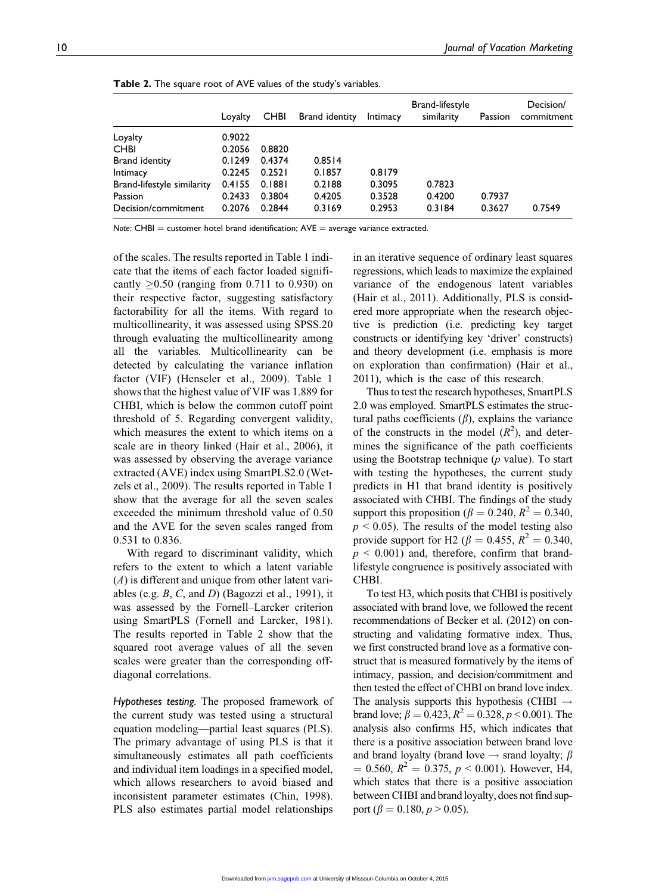|                            | Loyalty | <b>CHBI</b> | Brand identity | <b>Intimacy</b> | Brand-lifestyle<br>similarity | Passion | Decision/<br>commitment |
|----------------------------|---------|-------------|----------------|-----------------|-------------------------------|---------|-------------------------|
| Loyalty                    | 0.9022  |             |                |                 |                               |         |                         |
| <b>CHBI</b>                | 0.2056  | 0.8820      |                |                 |                               |         |                         |
| Brand identity             | 0.1249  | 0.4374      | 0.8514         |                 |                               |         |                         |
| Intimacy                   | 0.2245  | 0.2521      | 0.1857         | 0.8179          |                               |         |                         |
| Brand-lifestyle similarity | 0.4155  | 0.1881      | 0.2188         | 0.3095          | 0.7823                        |         |                         |
| Passion                    | 0.2433  | 0.3804      | 0.4205         | 0.3528          | 0.4200                        | 0.7937  |                         |
| Decision/commitment        | 0.2076  | 0.2844      | 0.3169         | 0.2953          | 0.3184                        | 0.3627  | 0.7549                  |

Table 2. The square root of AVE values of the study's variables.

Note: CHBI  $=$  customer hotel brand identification;  $AVE =$  average variance extracted.

of the scales. The results reported in Table 1 indicate that the items of each factor loaded significantly  $\geq$ 0.50 (ranging from 0.711 to 0.930) on their respective factor, suggesting satisfactory factorability for all the items. With regard to multicollinearity, it was assessed using SPSS.20 through evaluating the multicollinearity among all the variables. Multicollinearity can be detected by calculating the variance inflation factor (VIF) (Henseler et al., 2009). Table 1 shows that the highest value of VIF was 1.889 for CHBI, which is below the common cutoff point threshold of 5. Regarding convergent validity, which measures the extent to which items on a scale are in theory linked (Hair et al., 2006), it was assessed by observing the average variance extracted (AVE) index using SmartPLS2.0 (Wetzels et al., 2009). The results reported in Table 1 show that the average for all the seven scales exceeded the minimum threshold value of 0.50 and the AVE for the seven scales ranged from 0.531 to 0.836.

With regard to discriminant validity, which refers to the extent to which a latent variable (A) is different and unique from other latent variables (e.g.  $B$ ,  $C$ , and  $D$ ) (Bagozzi et al., 1991), it was assessed by the Fornell–Larcker criterion using SmartPLS (Fornell and Larcker, 1981). The results reported in Table 2 show that the squared root average values of all the seven scales were greater than the corresponding offdiagonal correlations.

Hypotheses testing. The proposed framework of the current study was tested using a structural equation modeling—partial least squares (PLS). The primary advantage of using PLS is that it simultaneously estimates all path coefficients and individual item loadings in a specified model, which allows researchers to avoid biased and inconsistent parameter estimates (Chin, 1998). PLS also estimates partial model relationships

in an iterative sequence of ordinary least squares regressions, which leads to maximize the explained variance of the endogenous latent variables (Hair et al., 2011). Additionally, PLS is considered more appropriate when the research objective is prediction (i.e. predicting key target constructs or identifying key 'driver' constructs) and theory development (i.e. emphasis is more on exploration than confirmation) (Hair et al., 2011), which is the case of this research.

Thus to test the research hypotheses, SmartPLS 2.0 was employed. SmartPLS estimates the structural paths coefficients  $(\beta)$ , explains the variance of the constructs in the model  $(R^2)$ , and determines the significance of the path coefficients using the Bootstrap technique  $(p \text{ value})$ . To start with testing the hypotheses, the current study predicts in H1 that brand identity is positively associated with CHBI. The findings of the study support this proposition ( $\beta = 0.240$ ,  $R^2 = 0.340$ ,  $p \le 0.05$ ). The results of the model testing also provide support for H2 ( $\beta = 0.455$ ,  $R^2 = 0.340$ ,  $p < 0.001$ ) and, therefore, confirm that brandlifestyle congruence is positively associated with CHBI.

To test H3, which posits that CHBI is positively associated with brand love, we followed the recent recommendations of Becker et al. (2012) on constructing and validating formative index. Thus, we first constructed brand love as a formative construct that is measured formatively by the items of intimacy, passion, and decision/commitment and then tested the effect of CHBI on brand love index. The analysis supports this hypothesis (CHBI  $\rightarrow$ brand love;  $\beta = 0.423$ ,  $R^2 = 0.328$ ,  $p < 0.001$ ). The analysis also confirms H5, which indicates that there is a positive association between brand love and brand loyalty (brand love  $\rightarrow$  srand loyalty;  $\beta$  $= 0.560, R^2 = 0.375, p \le 0.001$ ). However, H4, which states that there is a positive association between CHBI and brand loyalty, does not find support ( $\beta = 0.180, p > 0.05$ ).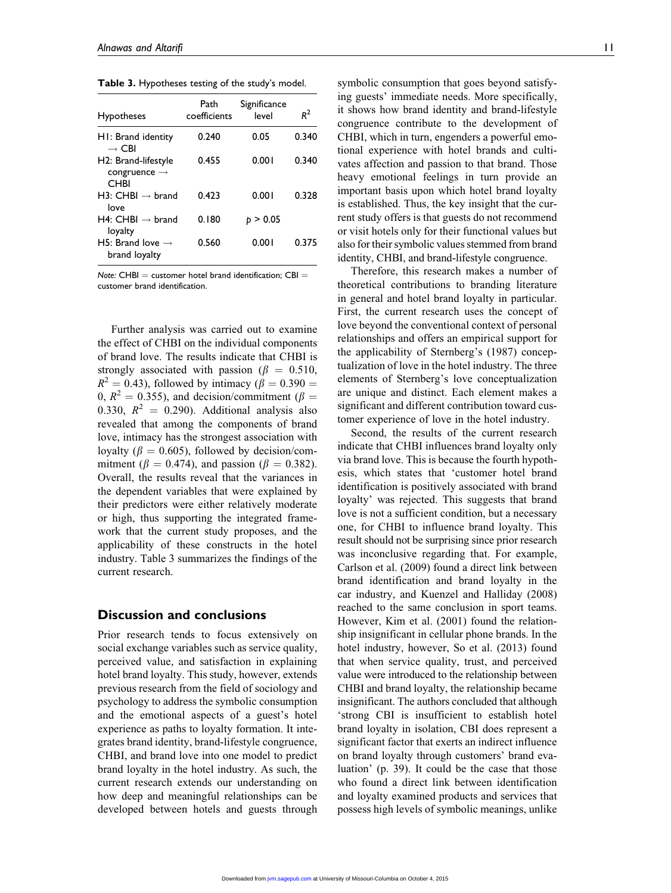Table 3. Hypotheses testing of the study's model.

| Hypotheses                                              | Path<br>coefficients | Significance<br>level | $R^2$ |
|---------------------------------------------------------|----------------------|-----------------------|-------|
| HI: Brand identity<br>$\rightarrow$ CBI                 | 0.240                | 0.05                  | 0.340 |
| H2: Brand-lifestyle<br>congruence $\rightarrow$<br>CHBI | 0.455                | 0.001                 | 0.340 |
| $H3: CHBI \rightarrow brand$<br>love                    | 0.423                | 0.001                 | 0.328 |
| $H4: CHBI \rightarrow brand$<br>loyalty                 | 0.180                | p > 0.05              |       |
| H5: Brand love $\rightarrow$<br>brand loyalty           | 0.560                | 0.001                 | 0.375 |

Note: CHBI  $=$  customer hotel brand identification; CBI  $=$ customer brand identification.

Further analysis was carried out to examine the effect of CHBI on the individual components of brand love. The results indicate that CHBI is strongly associated with passion ( $\beta = 0.510$ ,  $R^2 = 0.43$ ), followed by intimacy ( $\beta = 0.390$  = 0,  $R^2 = 0.355$ ), and decision/commitment ( $\beta =$ 0.330,  $R^2 = 0.290$ ). Additional analysis also revealed that among the components of brand love, intimacy has the strongest association with loyalty ( $\beta = 0.605$ ), followed by decision/commitment ( $\beta = 0.474$ ), and passion ( $\beta = 0.382$ ). Overall, the results reveal that the variances in the dependent variables that were explained by their predictors were either relatively moderate or high, thus supporting the integrated framework that the current study proposes, and the applicability of these constructs in the hotel industry. Table 3 summarizes the findings of the current research.

## Discussion and conclusions

Prior research tends to focus extensively on social exchange variables such as service quality, perceived value, and satisfaction in explaining hotel brand loyalty. This study, however, extends previous research from the field of sociology and psychology to address the symbolic consumption and the emotional aspects of a guest's hotel experience as paths to loyalty formation. It integrates brand identity, brand-lifestyle congruence, CHBI, and brand love into one model to predict brand loyalty in the hotel industry. As such, the current research extends our understanding on how deep and meaningful relationships can be developed between hotels and guests through

symbolic consumption that goes beyond satisfying guests' immediate needs. More specifically, it shows how brand identity and brand-lifestyle congruence contribute to the development of CHBI, which in turn, engenders a powerful emotional experience with hotel brands and cultivates affection and passion to that brand. Those heavy emotional feelings in turn provide an important basis upon which hotel brand loyalty is established. Thus, the key insight that the current study offers is that guests do not recommend or visit hotels only for their functional values but also for their symbolic values stemmed from brand identity, CHBI, and brand-lifestyle congruence.

Therefore, this research makes a number of theoretical contributions to branding literature in general and hotel brand loyalty in particular. First, the current research uses the concept of love beyond the conventional context of personal relationships and offers an empirical support for the applicability of Sternberg's (1987) conceptualization of love in the hotel industry. The three elements of Sternberg's love conceptualization are unique and distinct. Each element makes a significant and different contribution toward customer experience of love in the hotel industry.

Second, the results of the current research indicate that CHBI influences brand loyalty only via brand love. This is because the fourth hypothesis, which states that 'customer hotel brand identification is positively associated with brand loyalty' was rejected. This suggests that brand love is not a sufficient condition, but a necessary one, for CHBI to influence brand loyalty. This result should not be surprising since prior research was inconclusive regarding that. For example, Carlson et al. (2009) found a direct link between brand identification and brand loyalty in the car industry, and Kuenzel and Halliday (2008) reached to the same conclusion in sport teams. However, Kim et al. (2001) found the relationship insignificant in cellular phone brands. In the hotel industry, however, So et al. (2013) found that when service quality, trust, and perceived value were introduced to the relationship between CHBI and brand loyalty, the relationship became insignificant. The authors concluded that although 'strong CBI is insufficient to establish hotel brand loyalty in isolation, CBI does represent a significant factor that exerts an indirect influence on brand loyalty through customers' brand evaluation' (p. 39). It could be the case that those who found a direct link between identification and loyalty examined products and services that possess high levels of symbolic meanings, unlike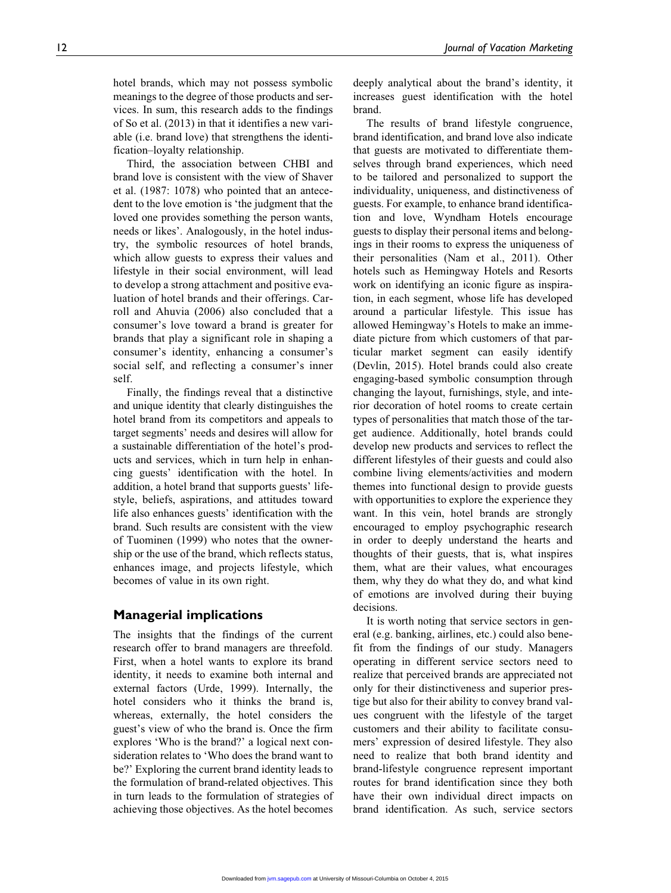hotel brands, which may not possess symbolic meanings to the degree of those products and services. In sum, this research adds to the findings of So et al. (2013) in that it identifies a new variable (i.e. brand love) that strengthens the identification–loyalty relationship.

Third, the association between CHBI and brand love is consistent with the view of Shaver et al. (1987: 1078) who pointed that an antecedent to the love emotion is 'the judgment that the loved one provides something the person wants, needs or likes'. Analogously, in the hotel industry, the symbolic resources of hotel brands, which allow guests to express their values and lifestyle in their social environment, will lead to develop a strong attachment and positive evaluation of hotel brands and their offerings. Carroll and Ahuvia (2006) also concluded that a consumer's love toward a brand is greater for brands that play a significant role in shaping a consumer's identity, enhancing a consumer's social self, and reflecting a consumer's inner self.

Finally, the findings reveal that a distinctive and unique identity that clearly distinguishes the hotel brand from its competitors and appeals to target segments' needs and desires will allow for a sustainable differentiation of the hotel's products and services, which in turn help in enhancing guests' identification with the hotel. In addition, a hotel brand that supports guests' lifestyle, beliefs, aspirations, and attitudes toward life also enhances guests' identification with the brand. Such results are consistent with the view of Tuominen (1999) who notes that the ownership or the use of the brand, which reflects status, enhances image, and projects lifestyle, which becomes of value in its own right.

## Managerial implications

The insights that the findings of the current research offer to brand managers are threefold. First, when a hotel wants to explore its brand identity, it needs to examine both internal and external factors (Urde, 1999). Internally, the hotel considers who it thinks the brand is, whereas, externally, the hotel considers the guest's view of who the brand is. Once the firm explores 'Who is the brand?' a logical next consideration relates to 'Who does the brand want to be?' Exploring the current brand identity leads to the formulation of brand-related objectives. This in turn leads to the formulation of strategies of achieving those objectives. As the hotel becomes

deeply analytical about the brand's identity, it increases guest identification with the hotel brand.

The results of brand lifestyle congruence, brand identification, and brand love also indicate that guests are motivated to differentiate themselves through brand experiences, which need to be tailored and personalized to support the individuality, uniqueness, and distinctiveness of guests. For example, to enhance brand identification and love, Wyndham Hotels encourage guests to display their personal items and belongings in their rooms to express the uniqueness of their personalities (Nam et al., 2011). Other hotels such as Hemingway Hotels and Resorts work on identifying an iconic figure as inspiration, in each segment, whose life has developed around a particular lifestyle. This issue has allowed Hemingway's Hotels to make an immediate picture from which customers of that particular market segment can easily identify (Devlin, 2015). Hotel brands could also create engaging-based symbolic consumption through changing the layout, furnishings, style, and interior decoration of hotel rooms to create certain types of personalities that match those of the target audience. Additionally, hotel brands could develop new products and services to reflect the different lifestyles of their guests and could also combine living elements/activities and modern themes into functional design to provide guests with opportunities to explore the experience they want. In this vein, hotel brands are strongly encouraged to employ psychographic research in order to deeply understand the hearts and thoughts of their guests, that is, what inspires them, what are their values, what encourages them, why they do what they do, and what kind of emotions are involved during their buying decisions.

It is worth noting that service sectors in general (e.g. banking, airlines, etc.) could also benefit from the findings of our study. Managers operating in different service sectors need to realize that perceived brands are appreciated not only for their distinctiveness and superior prestige but also for their ability to convey brand values congruent with the lifestyle of the target customers and their ability to facilitate consumers' expression of desired lifestyle. They also need to realize that both brand identity and brand-lifestyle congruence represent important routes for brand identification since they both have their own individual direct impacts on brand identification. As such, service sectors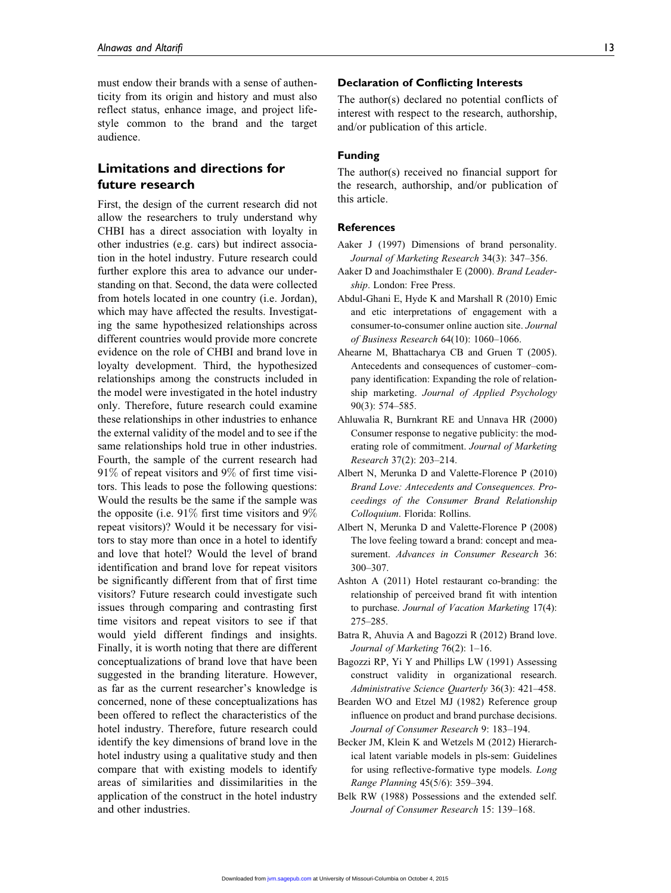must endow their brands with a sense of authenticity from its origin and history and must also reflect status, enhance image, and project lifestyle common to the brand and the target audience.

# Limitations and directions for future research

First, the design of the current research did not allow the researchers to truly understand why CHBI has a direct association with loyalty in other industries (e.g. cars) but indirect association in the hotel industry. Future research could further explore this area to advance our understanding on that. Second, the data were collected from hotels located in one country (i.e. Jordan), which may have affected the results. Investigating the same hypothesized relationships across different countries would provide more concrete evidence on the role of CHBI and brand love in loyalty development. Third, the hypothesized relationships among the constructs included in the model were investigated in the hotel industry only. Therefore, future research could examine these relationships in other industries to enhance the external validity of the model and to see if the same relationships hold true in other industries. Fourth, the sample of the current research had 91% of repeat visitors and 9% of first time visitors. This leads to pose the following questions: Would the results be the same if the sample was the opposite (i.e.  $91\%$  first time visitors and  $9\%$ repeat visitors)? Would it be necessary for visitors to stay more than once in a hotel to identify and love that hotel? Would the level of brand identification and brand love for repeat visitors be significantly different from that of first time visitors? Future research could investigate such issues through comparing and contrasting first time visitors and repeat visitors to see if that would yield different findings and insights. Finally, it is worth noting that there are different conceptualizations of brand love that have been suggested in the branding literature. However, as far as the current researcher's knowledge is concerned, none of these conceptualizations has been offered to reflect the characteristics of the hotel industry. Therefore, future research could identify the key dimensions of brand love in the hotel industry using a qualitative study and then compare that with existing models to identify areas of similarities and dissimilarities in the application of the construct in the hotel industry and other industries.

The author(s) declared no potential conflicts of interest with respect to the research, authorship, and/or publication of this article.

#### Funding

The author(s) received no financial support for the research, authorship, and/or publication of this article.

#### References

- Aaker J (1997) Dimensions of brand personality. Journal of Marketing Research 34(3): 347–356.
- Aaker D and Joachimsthaler E (2000). Brand Leadership. London: Free Press.
- Abdul-Ghani E, Hyde K and Marshall R (2010) Emic and etic interpretations of engagement with a consumer-to-consumer online auction site. Journal of Business Research 64(10): 1060–1066.
- Ahearne M, Bhattacharya CB and Gruen T (2005). Antecedents and consequences of customer–company identification: Expanding the role of relationship marketing. Journal of Applied Psychology 90(3): 574–585.
- Ahluwalia R, Burnkrant RE and Unnava HR (2000) Consumer response to negative publicity: the moderating role of commitment. Journal of Marketing Research 37(2): 203–214.
- Albert N, Merunka D and Valette-Florence P (2010) Brand Love: Antecedents and Consequences. Proceedings of the Consumer Brand Relationship Colloquium. Florida: Rollins.
- Albert N, Merunka D and Valette-Florence P (2008) The love feeling toward a brand: concept and measurement. Advances in Consumer Research 36: 300–307.
- Ashton A (2011) Hotel restaurant co-branding: the relationship of perceived brand fit with intention to purchase. Journal of Vacation Marketing 17(4): 275–285.
- Batra R, Ahuvia A and Bagozzi R (2012) Brand love. Journal of Marketing 76(2): 1–16.
- Bagozzi RP, Yi Y and Phillips LW (1991) Assessing construct validity in organizational research. Administrative Science Quarterly 36(3): 421–458.
- Bearden WO and Etzel MJ (1982) Reference group influence on product and brand purchase decisions. Journal of Consumer Research 9: 183–194.
- Becker JM, Klein K and Wetzels M (2012) Hierarchical latent variable models in pls-sem: Guidelines for using reflective-formative type models. Long Range Planning 45(5/6): 359–394.
- Belk RW (1988) Possessions and the extended self. Journal of Consumer Research 15: 139–168.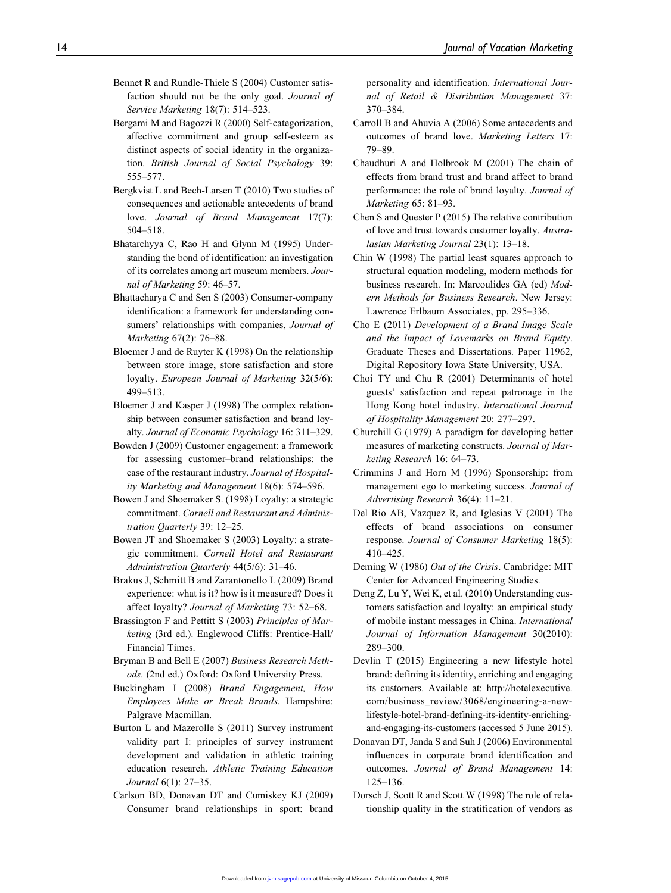- Bennet R and Rundle-Thiele S (2004) Customer satisfaction should not be the only goal. Journal of Service Marketing 18(7): 514–523.
- Bergami M and Bagozzi R (2000) Self-categorization, affective commitment and group self-esteem as distinct aspects of social identity in the organization. British Journal of Social Psychology 39: 555–577.
- Bergkvist L and Bech-Larsen T (2010) Two studies of consequences and actionable antecedents of brand love. Journal of Brand Management 17(7): 504–518.
- Bhatarchyya C, Rao H and Glynn M (1995) Understanding the bond of identification: an investigation of its correlates among art museum members. Journal of Marketing 59: 46–57.
- Bhattacharya C and Sen S (2003) Consumer-company identification: a framework for understanding consumers' relationships with companies, *Journal of* Marketing 67(2): 76–88.
- Bloemer J and de Ruyter K (1998) On the relationship between store image, store satisfaction and store loyalty. European Journal of Marketing 32(5/6): 499–513.
- Bloemer J and Kasper J (1998) The complex relationship between consumer satisfaction and brand loyalty. Journal of Economic Psychology 16: 311–329.
- Bowden J (2009) Customer engagement: a framework for assessing customer–brand relationships: the case of the restaurant industry. Journal of Hospitality Marketing and Management 18(6): 574–596.
- Bowen J and Shoemaker S. (1998) Loyalty: a strategic commitment. Cornell and Restaurant and Administration Quarterly 39: 12–25.
- Bowen JT and Shoemaker S (2003) Loyalty: a strategic commitment. Cornell Hotel and Restaurant Administration Quarterly 44(5/6): 31–46.
- Brakus J, Schmitt B and Zarantonello L (2009) Brand experience: what is it? how is it measured? Does it affect loyalty? Journal of Marketing 73: 52–68.
- Brassington F and Pettitt S (2003) Principles of Marketing (3rd ed.). Englewood Cliffs: Prentice-Hall/ Financial Times.
- Bryman B and Bell E (2007) Business Research Methods. (2nd ed.) Oxford: Oxford University Press.
- Buckingham I (2008) Brand Engagement, How Employees Make or Break Brands. Hampshire: Palgrave Macmillan.
- Burton L and Mazerolle S (2011) Survey instrument validity part I: principles of survey instrument development and validation in athletic training education research. Athletic Training Education Journal 6(1): 27–35.
- Carlson BD, Donavan DT and Cumiskey KJ (2009) Consumer brand relationships in sport: brand

personality and identification. International Journal of Retail & Distribution Management 37: 370–384.

- Carroll B and Ahuvia A (2006) Some antecedents and outcomes of brand love. Marketing Letters 17: 79–89.
- Chaudhuri A and Holbrook M (2001) The chain of effects from brand trust and brand affect to brand performance: the role of brand loyalty. Journal of Marketing 65: 81–93.
- Chen S and Quester P (2015) The relative contribution of love and trust towards customer loyalty. Australasian Marketing Journal 23(1): 13–18.
- Chin W (1998) The partial least squares approach to structural equation modeling, modern methods for business research. In: Marcoulides GA (ed) Modern Methods for Business Research. New Jersey: Lawrence Erlbaum Associates, pp. 295–336.
- Cho E (2011) Development of a Brand Image Scale and the Impact of Lovemarks on Brand Equity. Graduate Theses and Dissertations. Paper 11962, Digital Repository Iowa State University, USA.
- Choi TY and Chu R (2001) Determinants of hotel guests' satisfaction and repeat patronage in the Hong Kong hotel industry. International Journal of Hospitality Management 20: 277–297.
- Churchill G (1979) A paradigm for developing better measures of marketing constructs. Journal of Marketing Research 16: 64–73.
- Crimmins J and Horn M (1996) Sponsorship: from management ego to marketing success. Journal of Advertising Research 36(4): 11–21.
- Del Rio AB, Vazquez R, and Iglesias V (2001) The effects of brand associations on consumer response. Journal of Consumer Marketing 18(5): 410–425.
- Deming W (1986) Out of the Crisis. Cambridge: MIT Center for Advanced Engineering Studies.
- Deng Z, Lu Y, Wei K, et al. (2010) Understanding customers satisfaction and loyalty: an empirical study of mobile instant messages in China. International Journal of Information Management 30(2010): 289–300.
- Devlin T (2015) Engineering a new lifestyle hotel brand: defining its identity, enriching and engaging its customers. Available at: [http://hotelexecutive.](http://hotelexecutive.com/business_review/3068/engineering-a-new-lifestyle-hotel-brand-defining-its-identity-enriching-and-engaging-its-customers) [com/business\\_review/3068/engineering-a-new](http://hotelexecutive.com/business_review/3068/engineering-a-new-lifestyle-hotel-brand-defining-its-identity-enriching-and-engaging-its-customers)[lifestyle-hotel-brand-defining-its-identity-enriching](http://hotelexecutive.com/business_review/3068/engineering-a-new-lifestyle-hotel-brand-defining-its-identity-enriching-and-engaging-its-customers)[and-engaging-its-customers](http://hotelexecutive.com/business_review/3068/engineering-a-new-lifestyle-hotel-brand-defining-its-identity-enriching-and-engaging-its-customers) (accessed 5 June 2015).
- Donavan DT, Janda S and Suh J (2006) Environmental influences in corporate brand identification and outcomes. Journal of Brand Management 14: 125–136.
- Dorsch J, Scott R and Scott W (1998) The role of relationship quality in the stratification of vendors as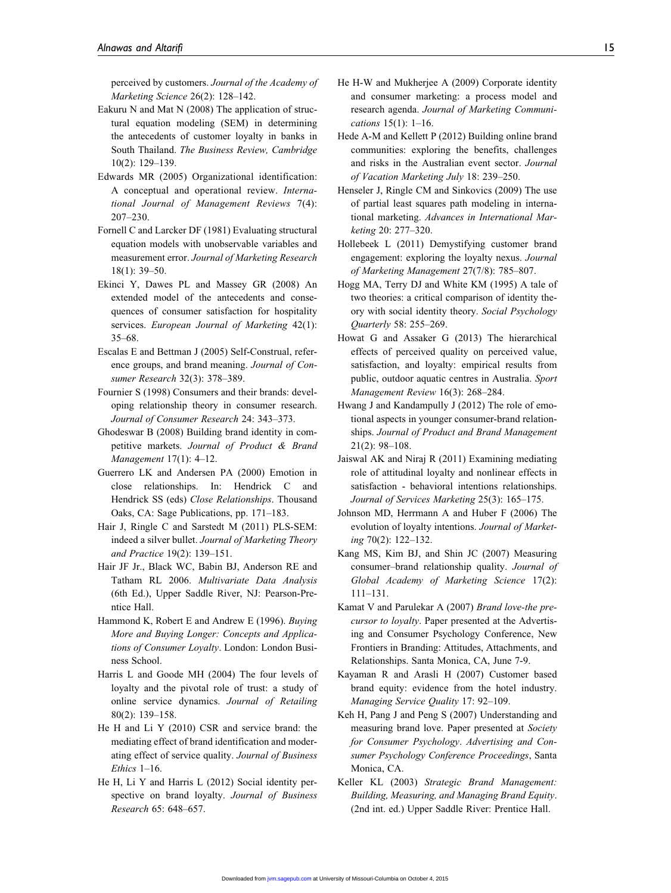perceived by customers. Journal of the Academy of Marketing Science 26(2): 128–142.

- Eakuru N and Mat N (2008) The application of structural equation modeling (SEM) in determining the antecedents of customer loyalty in banks in South Thailand. The Business Review, Cambridge 10(2): 129–139.
- Edwards MR (2005) Organizational identification: A conceptual and operational review. International Journal of Management Reviews 7(4): 207–230.
- Fornell C and Larcker DF (1981) Evaluating structural equation models with unobservable variables and measurement error. Journal of Marketing Research 18(1): 39–50.
- Ekinci Y, Dawes PL and Massey GR (2008) An extended model of the antecedents and consequences of consumer satisfaction for hospitality services. European Journal of Marketing 42(1): 35–68.
- Escalas E and Bettman J (2005) Self-Construal, reference groups, and brand meaning. Journal of Consumer Research 32(3): 378–389.
- Fournier S (1998) Consumers and their brands: developing relationship theory in consumer research. Journal of Consumer Research 24: 343–373.
- Ghodeswar B (2008) Building brand identity in competitive markets. Journal of Product & Brand Management 17(1): 4–12.
- Guerrero LK and Andersen PA (2000) Emotion in close relationships. In: Hendrick C and Hendrick SS (eds) Close Relationships. Thousand Oaks, CA: Sage Publications, pp. 171–183.
- Hair J, Ringle C and Sarstedt M (2011) PLS-SEM: indeed a silver bullet. Journal of Marketing Theory and Practice 19(2): 139–151.
- Hair JF Jr., Black WC, Babin BJ, Anderson RE and Tatham RL 2006. Multivariate Data Analysis (6th Ed.), Upper Saddle River, NJ: Pearson-Prentice Hall.
- Hammond K, Robert E and Andrew E (1996). Buying More and Buying Longer: Concepts and Applications of Consumer Loyalty. London: London Business School.
- Harris L and Goode MH (2004) The four levels of loyalty and the pivotal role of trust: a study of online service dynamics. Journal of Retailing 80(2): 139–158.
- He H and Li Y (2010) CSR and service brand: the mediating effect of brand identification and moderating effect of service quality. Journal of Business Ethics 1–16.
- He H, Li Y and Harris L (2012) Social identity perspective on brand loyalty. Journal of Business Research 65: 648–657.
- He H-W and Mukherjee A (2009) Corporate identity and consumer marketing: a process model and research agenda. Journal of Marketing Communications 15(1): 1–16.
- Hede A-M and Kellett P (2012) Building online brand communities: exploring the benefits, challenges and risks in the Australian event sector. Journal of Vacation Marketing July 18: 239–250.
- Henseler J, Ringle CM and Sinkovics (2009) The use of partial least squares path modeling in international marketing. Advances in International Marketing 20: 277–320.
- Hollebeek L (2011) Demystifying customer brand engagement: exploring the loyalty nexus. Journal of Marketing Management 27(7/8): 785–807.
- Hogg MA, Terry DJ and White KM (1995) A tale of two theories: a critical comparison of identity theory with social identity theory. Social Psychology Quarterly 58: 255–269.
- Howat G and Assaker G (2013) The hierarchical effects of perceived quality on perceived value, satisfaction, and loyalty: empirical results from public, outdoor aquatic centres in Australia. Sport Management Review 16(3): 268–284.
- Hwang J and Kandampully J (2012) The role of emotional aspects in younger consumer-brand relationships. Journal of Product and Brand Management 21(2): 98–108.
- Jaiswal AK and Niraj R (2011) Examining mediating role of attitudinal loyalty and nonlinear effects in satisfaction - behavioral intentions relationships. Journal of Services Marketing 25(3): 165–175.
- Johnson MD, Herrmann A and Huber F (2006) The evolution of loyalty intentions. Journal of Marketing 70(2): 122–132.
- Kang MS, Kim BJ, and Shin JC (2007) Measuring consumer–brand relationship quality. Journal of Global Academy of Marketing Science 17(2): 111–131.
- Kamat V and Parulekar A (2007) Brand love-the precursor to loyalty. Paper presented at the Advertising and Consumer Psychology Conference, New Frontiers in Branding: Attitudes, Attachments, and Relationships. Santa Monica, CA, June 7-9.
- Kayaman R and Arasli H (2007) Customer based brand equity: evidence from the hotel industry. Managing Service Quality 17: 92–109.
- Keh H, Pang J and Peng S (2007) Understanding and measuring brand love. Paper presented at Society for Consumer Psychology. Advertising and Consumer Psychology Conference Proceedings, Santa Monica, CA.
- Keller KL (2003) Strategic Brand Management: Building, Measuring, and Managing Brand Equity. (2nd int. ed.) Upper Saddle River: Prentice Hall.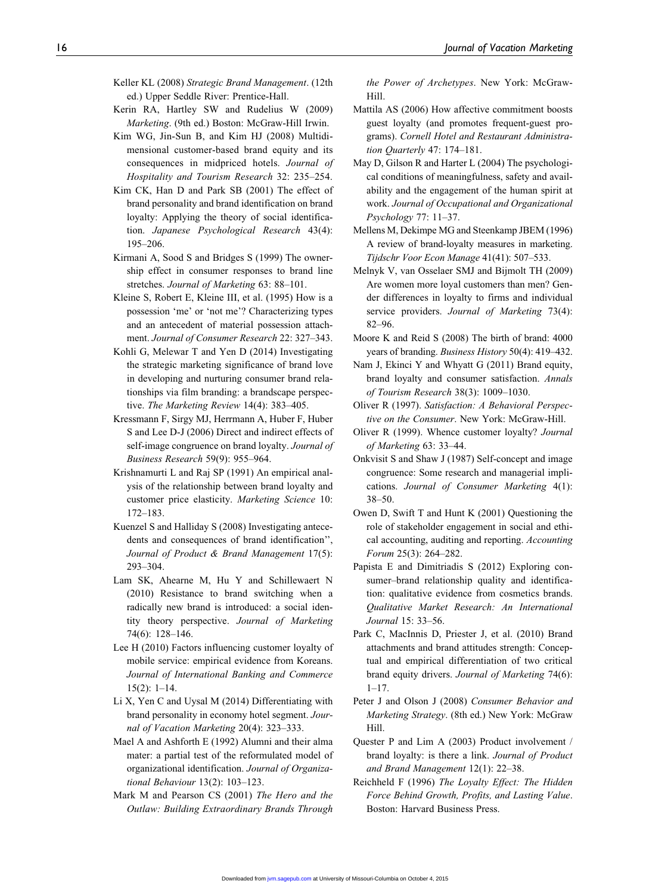- Keller KL (2008) Strategic Brand Management. (12th ed.) Upper Seddle River: Prentice-Hall.
- Kerin RA, Hartley SW and Rudelius W (2009) Marketing. (9th ed.) Boston: McGraw-Hill Irwin.
- Kim WG, Jin-Sun B, and Kim HJ (2008) Multidimensional customer-based brand equity and its consequences in midpriced hotels. Journal of Hospitality and Tourism Research 32: 235–254.
- Kim CK, Han D and Park SB (2001) The effect of brand personality and brand identification on brand loyalty: Applying the theory of social identification. Japanese Psychological Research 43(4): 195–206.
- Kirmani A, Sood S and Bridges S (1999) The ownership effect in consumer responses to brand line stretches. Journal of Marketing 63: 88–101.
- Kleine S, Robert E, Kleine III, et al. (1995) How is a possession 'me' or 'not me'? Characterizing types and an antecedent of material possession attachment. Journal of Consumer Research 22: 327–343.
- Kohli G, Melewar T and Yen D (2014) Investigating the strategic marketing significance of brand love in developing and nurturing consumer brand relationships via film branding: a brandscape perspective. The Marketing Review 14(4): 383–405.
- Kressmann F, Sirgy MJ, Herrmann A, Huber F, Huber S and Lee D-J (2006) Direct and indirect effects of self-image congruence on brand loyalty. Journal of Business Research 59(9): 955–964.
- Krishnamurti L and Raj SP (1991) An empirical analysis of the relationship between brand loyalty and customer price elasticity. Marketing Science 10: 172–183.
- Kuenzel S and Halliday S (2008) Investigating antecedents and consequences of brand identification'', Journal of Product & Brand Management 17(5): 293–304.
- Lam SK, Ahearne M, Hu Y and Schillewaert N (2010) Resistance to brand switching when a radically new brand is introduced: a social identity theory perspective. Journal of Marketing 74(6): 128–146.
- Lee H (2010) Factors influencing customer loyalty of mobile service: empirical evidence from Koreans. Journal of International Banking and Commerce 15(2): 1–14.
- Li X, Yen C and Uysal M (2014) Differentiating with brand personality in economy hotel segment. Journal of Vacation Marketing 20(4): 323–333.
- Mael A and Ashforth E (1992) Alumni and their alma mater: a partial test of the reformulated model of organizational identification. Journal of Organizational Behaviour 13(2): 103–123.
- Mark M and Pearson CS (2001) The Hero and the Outlaw: Building Extraordinary Brands Through

the Power of Archetypes. New York: McGraw-Hill.

- Mattila AS (2006) How affective commitment boosts guest loyalty (and promotes frequent-guest programs). Cornell Hotel and Restaurant Administration Quarterly 47: 174–181.
- May D, Gilson R and Harter L (2004) The psychological conditions of meaningfulness, safety and availability and the engagement of the human spirit at work. Journal of Occupational and Organizational Psychology 77: 11–37.
- Mellens M, Dekimpe MG and Steenkamp JBEM (1996) A review of brand-loyalty measures in marketing. Tijdschr Voor Econ Manage 41(41): 507–533.
- Melnyk V, van Osselaer SMJ and Bijmolt TH (2009) Are women more loyal customers than men? Gender differences in loyalty to firms and individual service providers. Journal of Marketing 73(4): 82–96.
- Moore K and Reid S (2008) The birth of brand: 4000 years of branding. Business History 50(4): 419–432.
- Nam J, Ekinci Y and Whyatt G (2011) Brand equity, brand loyalty and consumer satisfaction. Annals of Tourism Research 38(3): 1009–1030.
- Oliver R (1997). Satisfaction: A Behavioral Perspective on the Consumer. New York: McGraw-Hill.
- Oliver R (1999). Whence customer loyalty? Journal of Marketing 63: 33–44.
- Onkvisit S and Shaw J (1987) Self-concept and image congruence: Some research and managerial implications. Journal of Consumer Marketing 4(1): 38–50.
- Owen D, Swift T and Hunt K (2001) Questioning the role of stakeholder engagement in social and ethical accounting, auditing and reporting. Accounting Forum 25(3): 264–282.
- Papista E and Dimitriadis S (2012) Exploring consumer–brand relationship quality and identification: qualitative evidence from cosmetics brands. Qualitative Market Research: An International Journal 15: 33–56.
- Park C, MacInnis D, Priester J, et al. (2010) Brand attachments and brand attitudes strength: Conceptual and empirical differentiation of two critical brand equity drivers. Journal of Marketing 74(6):  $1 - 17$ .
- Peter J and Olson J (2008) Consumer Behavior and Marketing Strategy. (8th ed.) New York: McGraw Hill.
- Quester P and Lim A (2003) Product involvement / brand loyalty: is there a link. Journal of Product and Brand Management 12(1): 22–38.
- Reichheld F (1996) The Loyalty Effect: The Hidden Force Behind Growth, Profits, and Lasting Value. Boston: Harvard Business Press.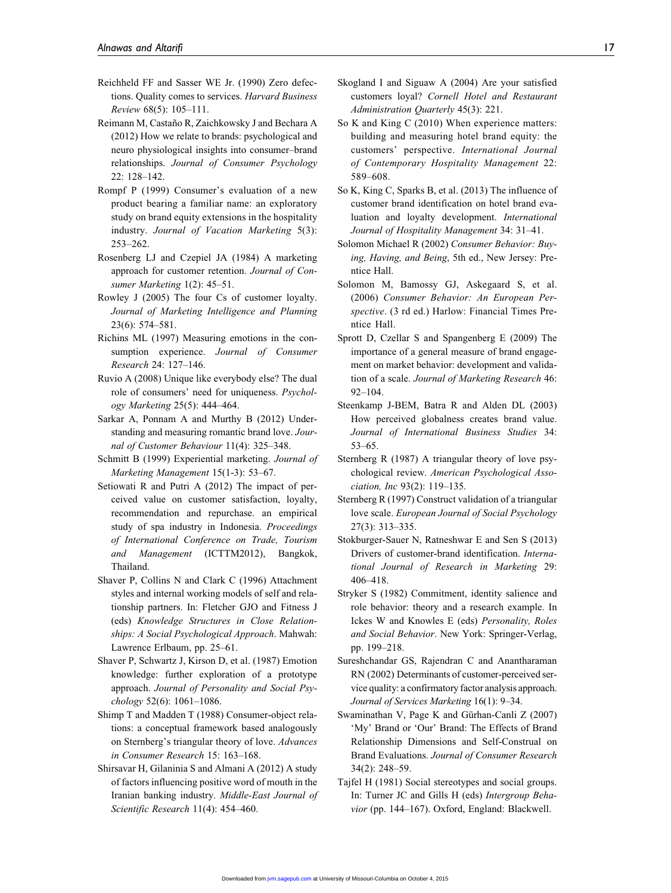- Reichheld FF and Sasser WE Jr. (1990) Zero defections. Quality comes to services. Harvard Business Review 68(5): 105–111.
- Reimann M, Castaño R, Zaichkowsky J and Bechara A (2012) How we relate to brands: psychological and neuro physiological insights into consumer–brand relationships. Journal of Consumer Psychology 22: 128–142.
- Rompf P (1999) Consumer's evaluation of a new product bearing a familiar name: an exploratory study on brand equity extensions in the hospitality industry. Journal of Vacation Marketing 5(3): 253–262.
- Rosenberg LJ and Czepiel JA (1984) A marketing approach for customer retention. Journal of Consumer Marketing 1(2): 45–51.
- Rowley J (2005) The four Cs of customer loyalty. Journal of Marketing Intelligence and Planning 23(6): 574–581.
- Richins ML (1997) Measuring emotions in the consumption experience. Journal of Consumer Research 24: 127–146.
- Ruvio A (2008) Unique like everybody else? The dual role of consumers' need for uniqueness. Psychology Marketing 25(5): 444–464.
- Sarkar A, Ponnam A and Murthy B (2012) Understanding and measuring romantic brand love. Journal of Customer Behaviour 11(4): 325–348.
- Schmitt B (1999) Experiential marketing. Journal of Marketing Management 15(1-3): 53–67.
- Setiowati R and Putri A (2012) The impact of perceived value on customer satisfaction, loyalty, recommendation and repurchase. an empirical study of spa industry in Indonesia. Proceedings of International Conference on Trade, Tourism and Management (ICTTM2012), Bangkok, Thailand.
- Shaver P, Collins N and Clark C (1996) Attachment styles and internal working models of self and relationship partners. In: Fletcher GJO and Fitness J (eds) Knowledge Structures in Close Relationships: A Social Psychological Approach. Mahwah: Lawrence Erlbaum, pp. 25–61.
- Shaver P, Schwartz J, Kirson D, et al. (1987) Emotion knowledge: further exploration of a prototype approach. Journal of Personality and Social Psychology 52(6): 1061–1086.
- Shimp T and Madden T (1988) Consumer-object relations: a conceptual framework based analogously on Sternberg's triangular theory of love. Advances in Consumer Research 15: 163–168.
- Shirsavar H, Gilaninia S and Almani A (2012) A study of factors influencing positive word of mouth in the Iranian banking industry. Middle-East Journal of Scientific Research 11(4): 454–460.
- Skogland I and Siguaw A (2004) Are your satisfied customers loyal? Cornell Hotel and Restaurant Administration Quarterly 45(3): 221.
- So K and King C (2010) When experience matters: building and measuring hotel brand equity: the customers' perspective. International Journal of Contemporary Hospitality Management 22: 589–608.
- So K, King C, Sparks B, et al. (2013) The influence of customer brand identification on hotel brand evaluation and loyalty development. International Journal of Hospitality Management 34: 31–41.
- Solomon Michael R (2002) Consumer Behavior: Buying, Having, and Being, 5th ed., New Jersey: Prentice Hall.
- Solomon M, Bamossy GJ, Askegaard S, et al. (2006) Consumer Behavior: An European Perspective. (3 rd ed.) Harlow: Financial Times Prentice Hall.
- Sprott D, Czellar S and Spangenberg E (2009) The importance of a general measure of brand engagement on market behavior: development and validation of a scale. Journal of Marketing Research 46: 92–104.
- Steenkamp J-BEM, Batra R and Alden DL (2003) How perceived globalness creates brand value. Journal of International Business Studies 34: 53–65.
- Sternberg R (1987) A triangular theory of love psychological review. American Psychological Association, Inc 93(2): 119–135.
- Sternberg R (1997) Construct validation of a triangular love scale. European Journal of Social Psychology 27(3): 313–335.
- Stokburger-Sauer N, Ratneshwar E and Sen S (2013) Drivers of customer-brand identification. International Journal of Research in Marketing 29: 406–418.
- Stryker S (1982) Commitment, identity salience and role behavior: theory and a research example. In Ickes W and Knowles E (eds) Personality, Roles and Social Behavior. New York: Springer-Verlag, pp. 199–218.
- Sureshchandar GS, Rajendran C and Anantharaman RN (2002) Determinants of customer-perceived service quality: a confirmatory factor analysis approach. Journal of Services Marketing 16(1): 9–34.
- Swaminathan V, Page K and Gürhan-Canli Z (2007) 'My' Brand or 'Our' Brand: The Effects of Brand Relationship Dimensions and Self-Construal on Brand Evaluations. Journal of Consumer Research 34(2): 248–59.
- Tajfel H (1981) Social stereotypes and social groups. In: Turner JC and Gills H (eds) Intergroup Behavior (pp. 144–167). Oxford, England: Blackwell.